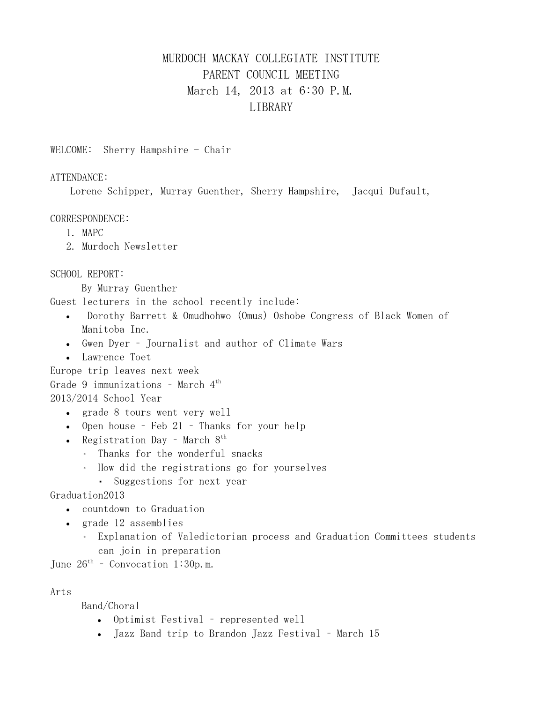# MURDOCH MACKAY COLLEGIATE INSTITUTE PARENT COUNCIL MEETING March 14, 2013 at 6:30 P.M. LIBRARY

WELCOME: Sherry Hampshire  $-$  Chair

#### ATTENDANCE:

Lorene Schipper, Murray Guenther, Sherry Hampshire, Jacqui Dufault,

#### CORRESPONDENCE:

- 1. MAPC
- 2. Murdoch Newsletter

### SCHOOL REPORT:

By Murray Guenther

Guest lecturers in the school recently include:

- Dorothy Barrett & Omudhohwo (Omus) Oshobe Congress of Black Women of Manitoba Inc.
- Gwen Dyer Journalist and author of Climate Wars
- Lawrence Toet
- Europe trip leaves next week

Grade 9 immunizations – March 4th

### 2013/2014 School Year

- grade 8 tours went very well
- Open house Feb 21 Thanks for your help
- Registration Day March  $8<sup>th</sup>$ 
	- Thanks for the wonderful snacks
	- How did the registrations go for yourselves
		- Suggestions for next year

### Graduation2013

- countdown to Graduation
- grade 12 assemblies
	- Explanation of Valedictorian process and Graduation Committees students can join in preparation

June  $26^{th}$  – Convocation 1:30p.m.

## Arts

Band/Choral

- Optimist Festival represented well
- Jazz Band trip to Brandon Jazz Festival March 15